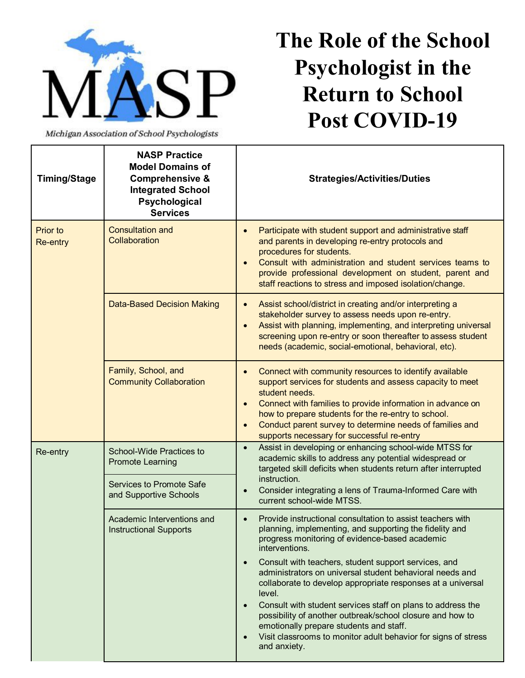

Michigan Association of School Psychologists

## **The Role of the School Psychologist in the Return to School Post COVID-19**

| <b>Timing/Stage</b>                | <b>NASP Practice</b><br><b>Model Domains of</b><br><b>Comprehensive &amp;</b><br><b>Integrated School</b><br>Psychological<br><b>Services</b> | <b>Strategies/Activities/Duties</b>                                                                                                                                                                                                                                                                                                                                               |
|------------------------------------|-----------------------------------------------------------------------------------------------------------------------------------------------|-----------------------------------------------------------------------------------------------------------------------------------------------------------------------------------------------------------------------------------------------------------------------------------------------------------------------------------------------------------------------------------|
| <b>Prior to</b><br><b>Re-entry</b> | <b>Consultation and</b><br>Collaboration                                                                                                      | Participate with student support and administrative staff<br>and parents in developing re-entry protocols and<br>procedures for students.<br>Consult with administration and student services teams to<br>provide professional development on student, parent and<br>staff reactions to stress and imposed isolation/change.                                                      |
|                                    | <b>Data-Based Decision Making</b>                                                                                                             | Assist school/district in creating and/or interpreting a<br>$\bullet$<br>stakeholder survey to assess needs upon re-entry.<br>Assist with planning, implementing, and interpreting universal<br>screening upon re-entry or soon thereafter to assess student<br>needs (academic, social-emotional, behavioral, etc).                                                              |
|                                    | Family, School, and<br><b>Community Collaboration</b>                                                                                         | Connect with community resources to identify available<br>support services for students and assess capacity to meet<br>student needs.<br>Connect with families to provide information in advance on<br>how to prepare students for the re-entry to school.<br>Conduct parent survey to determine needs of families and<br>$\bullet$<br>supports necessary for successful re-entry |
| Re-entry                           | <b>School-Wide Practices to</b><br><b>Promote Learning</b>                                                                                    | Assist in developing or enhancing school-wide MTSS for<br>$\bullet$<br>academic skills to address any potential widespread or<br>targeted skill deficits when students return after interrupted                                                                                                                                                                                   |
|                                    | Services to Promote Safe<br>and Supportive Schools                                                                                            | instruction.<br>Consider integrating a lens of Trauma-Informed Care with<br>current school-wide MTSS.                                                                                                                                                                                                                                                                             |
|                                    | Academic Interventions and<br><b>Instructional Supports</b>                                                                                   | Provide instructional consultation to assist teachers with<br>planning, implementing, and supporting the fidelity and<br>progress monitoring of evidence-based academic<br>interventions.                                                                                                                                                                                         |
|                                    |                                                                                                                                               | Consult with teachers, student support services, and<br>administrators on universal student behavioral needs and<br>collaborate to develop appropriate responses at a universal<br>level.                                                                                                                                                                                         |
|                                    |                                                                                                                                               | Consult with student services staff on plans to address the<br>possibility of another outbreak/school closure and how to<br>emotionally prepare students and staff.<br>Visit classrooms to monitor adult behavior for signs of stress<br>and anxiety.                                                                                                                             |
|                                    |                                                                                                                                               |                                                                                                                                                                                                                                                                                                                                                                                   |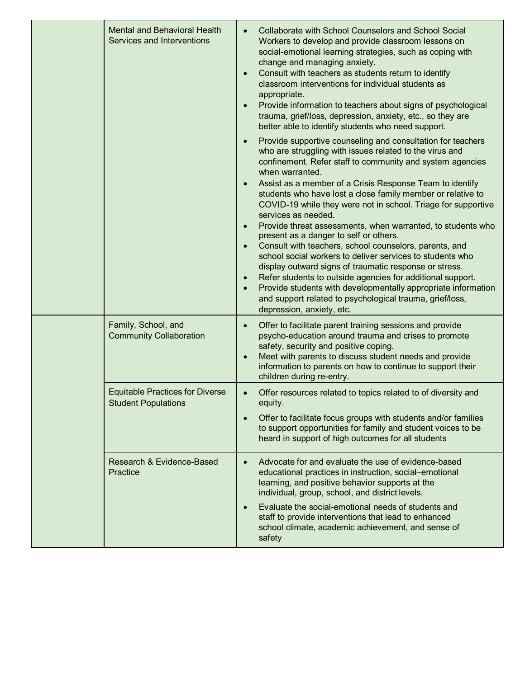|  | <b>Mental and Behavioral Health</b><br>Services and Interventions    | $\bullet$                                        | <b>Collaborate with School Counselors and School Social</b><br>Workers to develop and provide classroom lessons on<br>social-emotional learning strategies, such as coping with<br>change and managing anxiety.<br>Consult with teachers as students return to identify<br>classroom interventions for individual students as<br>appropriate.<br>Provide information to teachers about signs of psychological<br>trauma, grief/loss, depression, anxiety, etc., so they are<br>better able to identify students who need support.                                                                                                                                                                                                                                                                                                                                                                                                           |
|--|----------------------------------------------------------------------|--------------------------------------------------|---------------------------------------------------------------------------------------------------------------------------------------------------------------------------------------------------------------------------------------------------------------------------------------------------------------------------------------------------------------------------------------------------------------------------------------------------------------------------------------------------------------------------------------------------------------------------------------------------------------------------------------------------------------------------------------------------------------------------------------------------------------------------------------------------------------------------------------------------------------------------------------------------------------------------------------------|
|  |                                                                      | $\bullet$<br>$\bullet$<br>$\bullet$<br>$\bullet$ | Provide supportive counseling and consultation for teachers<br>who are struggling with issues related to the virus and<br>confinement. Refer staff to community and system agencies<br>when warranted.<br>Assist as a member of a Crisis Response Team to identify<br>students who have lost a close family member or relative to<br>COVID-19 while they were not in school. Triage for supportive<br>services as needed.<br>Provide threat assessments, when warranted, to students who<br>present as a danger to self or others.<br>Consult with teachers, school counselors, parents, and<br>school social workers to deliver services to students who<br>display outward signs of traumatic response or stress.<br>Refer students to outside agencies for additional support.<br>Provide students with developmentally appropriate information<br>and support related to psychological trauma, grief/loss,<br>depression, anxiety, etc. |
|  | Family, School, and<br><b>Community Collaboration</b>                | $\bullet$<br>$\bullet$                           | Offer to facilitate parent training sessions and provide<br>psycho-education around trauma and crises to promote<br>safety, security and positive coping.<br>Meet with parents to discuss student needs and provide<br>information to parents on how to continue to support their<br>children during re-entry.                                                                                                                                                                                                                                                                                                                                                                                                                                                                                                                                                                                                                              |
|  | <b>Equitable Practices for Diverse</b><br><b>Student Populations</b> | $\bullet$                                        | Offer resources related to topics related to of diversity and<br>equity.<br>Offer to facilitate focus groups with students and/or families<br>to support opportunities for family and student voices to be<br>heard in support of high outcomes for all students                                                                                                                                                                                                                                                                                                                                                                                                                                                                                                                                                                                                                                                                            |
|  | Research & Evidence-Based<br>Practice                                | $\bullet$                                        | Advocate for and evaluate the use of evidence-based<br>educational practices in instruction, social-emotional<br>learning, and positive behavior supports at the<br>individual, group, school, and district levels.<br>Evaluate the social-emotional needs of students and<br>staff to provide interventions that lead to enhanced<br>school climate, academic achievement, and sense of<br>safety                                                                                                                                                                                                                                                                                                                                                                                                                                                                                                                                          |